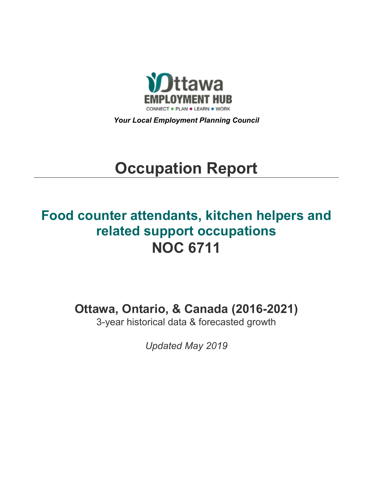

*Your Local Employment Planning Council*

# **Occupation Report**

## **Food counter attendants, kitchen helpers and related support occupations NOC 6711**

**Ottawa, Ontario, & Canada (2016-2021)**

3-year historical data & forecasted growth

*Updated May 2019*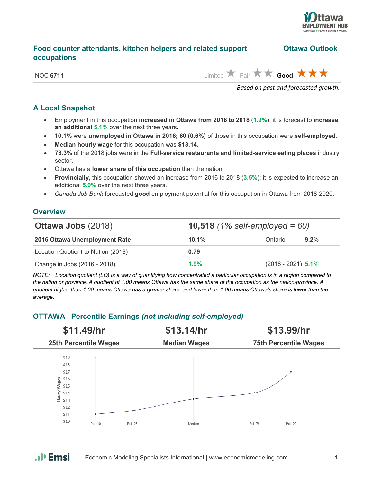

#### **Food counter attendants, kitchen helpers and related support Ottawa Outlook occupations**

NOC **6711** Limited  $\star$  Fair  $\star$  Good  $\star$   $\star$   $\star$ 

*Based on past and forecasted growth.*

#### **A Local Snapshot**

- Employment in this occupation **increased in Ottawa from 2016 to 2018** (**1.9%**); it is forecast to **increase an additional 5.1%** over the next three years.
- **10.1%** were **unemployed in Ottawa in 2016; 60 (0.6%)** of those in this occupation were **self-employed**.
- **Median hourly wage** for this occupation was **\$13.14**.
- **78.3%** of the 2018 jobs were in the **Full-service restaurants and limited-service eating places** industry sector.
- Ottawa has a **lower share of this occupation** than the nation.
- **Provincially**, this occupation showed an increase from 2016 to 2018 (**3.5%**); it is expected to increase an additional **5.9%** over the next three years.
- *Canada Job Bank* forecasted **good** employment potential for this occupation in Ottawa from 2018-2020.

#### **Overview**

| <b>Ottawa Jobs (2018)</b>          | <b>10,518</b> (1% self-employed = 60) |                      |         |
|------------------------------------|---------------------------------------|----------------------|---------|
| 2016 Ottawa Unemployment Rate      | $10.1\%$                              | Ontario              | $9.2\%$ |
| Location Quotient to Nation (2018) | 0.79                                  |                      |         |
| Change in Jobs (2016 - 2018)       | 1.9%                                  | $(2018 - 2021)$ 5.1% |         |

*NOTE: Location quotient (LQ) is a way of quantifying how concentrated a particular occupation is in a region compared to the nation or province. A quotient of 1.00 means Ottawa has the same share of the occupation as the nation/province. A quotient higher than 1.00 means Ottawa has a greater share, and lower than 1.00 means Ottawa's share is lower than the average.*

#### **OTTAWA | Percentile Earnings** *(not including self-employed)*



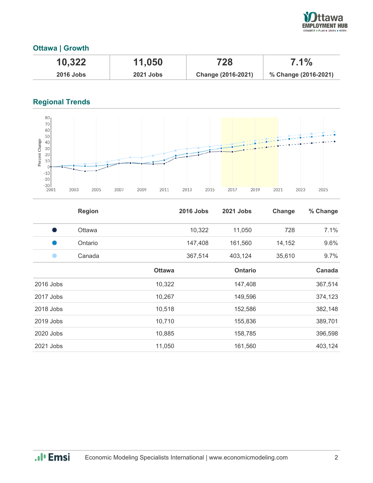

#### **Ottawa | Growth**

| 10,322           | 11,050           | 728                | $7.1\%$              |
|------------------|------------------|--------------------|----------------------|
| <b>2016 Jobs</b> | <b>2021 Jobs</b> | Change (2016-2021) | % Change (2016-2021) |

### **Regional Trends**



|           | <b>Region</b> |               | <b>2016 Jobs</b> | 2021 Jobs      | Change | % Change |
|-----------|---------------|---------------|------------------|----------------|--------|----------|
|           | Ottawa        |               | 10,322           | 11,050         | 728    | 7.1%     |
|           | Ontario       |               | 147,408          | 161,560        | 14,152 | 9.6%     |
|           | Canada        |               | 367,514          | 403,124        | 35,610 | 9.7%     |
|           |               | <b>Ottawa</b> |                  | <b>Ontario</b> |        | Canada   |
| 2016 Jobs |               | 10,322        |                  | 147,408        |        | 367,514  |
| 2017 Jobs |               | 10,267        |                  | 149,596        |        | 374,123  |
| 2018 Jobs |               | 10,518        |                  | 152,586        |        | 382,148  |
| 2019 Jobs |               | 10,710        |                  | 155,836        |        | 389,701  |
| 2020 Jobs |               | 10,885        |                  | 158,785        |        | 396,598  |
| 2021 Jobs |               | 11,050        |                  | 161,560        |        | 403,124  |

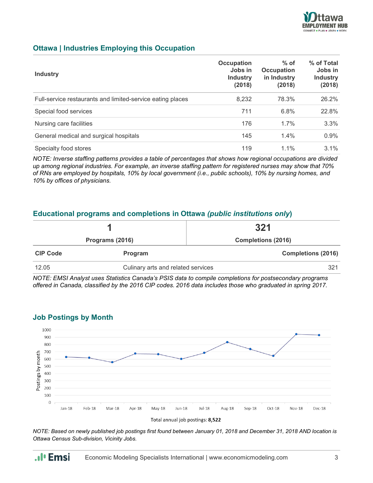

#### **Ottawa | Industries Employing this Occupation**

| <b>Industry</b>                                            | <b>Occupation</b><br>Jobs in<br><b>Industry</b><br>(2018) | $%$ of<br><b>Occupation</b><br>in Industry<br>(2018) | % of Total<br>Jobs in<br><b>Industry</b><br>(2018) |
|------------------------------------------------------------|-----------------------------------------------------------|------------------------------------------------------|----------------------------------------------------|
| Full-service restaurants and limited-service eating places | 8,232                                                     | 78.3%                                                | 26.2%                                              |
| Special food services                                      | 711                                                       | 6.8%                                                 | 22.8%                                              |
| Nursing care facilities                                    | 176                                                       | 1.7%                                                 | 3.3%                                               |
| General medical and surgical hospitals                     | 145                                                       | 1.4%                                                 | 0.9%                                               |
| Specialty food stores                                      | 119                                                       | $1.1\%$                                              | 3.1%                                               |

*NOTE: Inverse staffing patterns provides a table of percentages that shows how regional occupations are divided up among regional industries. For example, an inverse staffing pattern for registered nurses may show that 70% of RNs are employed by hospitals, 10% by local government (i.e., public schools), 10% by nursing homes, and 10% by offices of physicians.*

#### **Educational programs and completions in Ottawa** *(public institutions only***)**

|                 |                 | 321                                       |  |
|-----------------|-----------------|-------------------------------------------|--|
|                 | Programs (2016) | <b>Completions (2016)</b>                 |  |
| <b>CIP Code</b> | <b>Program</b>  | <b>Completions (2016)</b>                 |  |
| 12.05           |                 | 321<br>Culinary arts and related services |  |

*NOTE: EMSI Analyst uses Statistics Canada's PSIS data to compile completions for postsecondary programs offered in Canada, classified by the 2016 CIP codes. 2016 data includes those who graduated in spring 2017.*



#### **Job Postings by Month**

#### Total annual job postings: 8,522

*NOTE: Based on newly published job postings first found between January 01, 2018 and December 31, 2018 AND location is Ottawa Census Sub-division, Vicinity Jobs.*